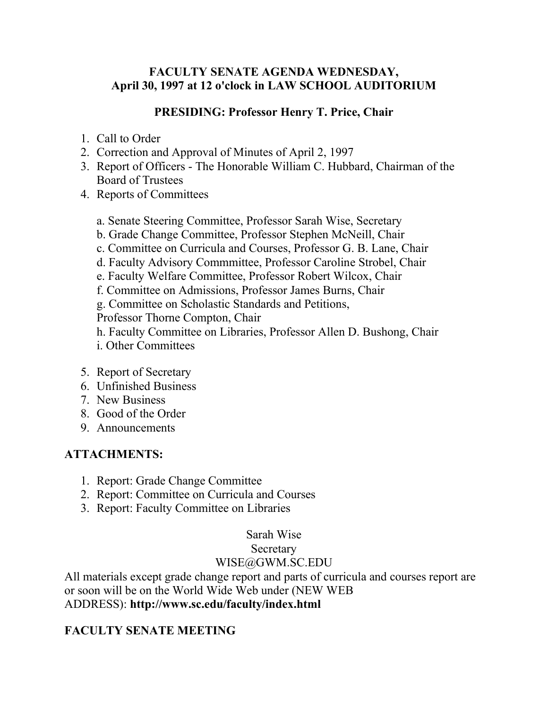#### **FACULTY SENATE AGENDA WEDNESDAY, April 30, 1997 at 12 o'clock in LAW SCHOOL AUDITORIUM**

#### **PRESIDING: Professor Henry T. Price, Chair**

- 1. Call to Order
- 2. Correction and Approval of Minutes of April 2, 1997
- 3. Report of Officers The Honorable William C. Hubbard, Chairman of the Board of Trustees
- 4. Reports of Committees
	- a. Senate Steering Committee, Professor Sarah Wise, Secretary
	- b. Grade Change Committee, Professor Stephen McNeill, Chair
	- c. Committee on Curricula and Courses, Professor G. B. Lane, Chair
	- d. Faculty Advisory Commmittee, Professor Caroline Strobel, Chair
	- e. Faculty Welfare Committee, Professor Robert Wilcox, Chair
	- f. Committee on Admissions, Professor James Burns, Chair
	- g. Committee on Scholastic Standards and Petitions,

Professor Thorne Compton, Chair

- h. Faculty Committee on Libraries, Professor Allen D. Bushong, Chair
- i. Other Committees
- 5. Report of Secretary
- 6. Unfinished Business
- 7. New Business
- 8. Good of the Order
- 9. Announcements

#### **ATTACHMENTS:**

- 1. Report: Grade Change Committee
- 2. Report: Committee on Curricula and Courses
- 3. Report: Faculty Committee on Libraries

# Sarah Wise

#### Secretary

# WISE@GWM.SC.EDU

All materials except grade change report and parts of curricula and courses report are or soon will be on the World Wide Web under (NEW WEB ADDRESS): **http://www.sc.edu/faculty/index.html**

# **FACULTY SENATE MEETING**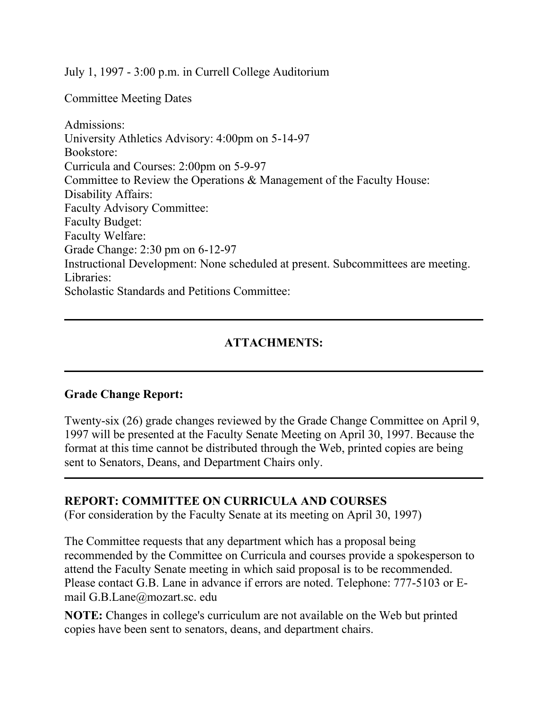July 1, 1997 - 3:00 p.m. in Currell College Auditorium

Committee Meeting Dates

Admissions: University Athletics Advisory: 4:00pm on 5-14-97 Bookstore: Curricula and Courses: 2:00pm on 5-9-97 Committee to Review the Operations & Management of the Faculty House: Disability Affairs: Faculty Advisory Committee: Faculty Budget: Faculty Welfare: Grade Change: 2:30 pm on 6-12-97 Instructional Development: None scheduled at present. Subcommittees are meeting. Libraries: Scholastic Standards and Petitions Committee:

#### **ATTACHMENTS:**

#### **Grade Change Report:**

Twenty-six (26) grade changes reviewed by the Grade Change Committee on April 9, 1997 will be presented at the Faculty Senate Meeting on April 30, 1997. Because the format at this time cannot be distributed through the Web, printed copies are being sent to Senators, Deans, and Department Chairs only.

#### **REPORT: COMMITTEE ON CURRICULA AND COURSES**

(For consideration by the Faculty Senate at its meeting on April 30, 1997)

The Committee requests that any department which has a proposal being recommended by the Committee on Curricula and courses provide a spokesperson to attend the Faculty Senate meeting in which said proposal is to be recommended. Please contact G.B. Lane in advance if errors are noted. Telephone: 777-5103 or Email G.B.Lane@mozart.sc. edu

**NOTE:** Changes in college's curriculum are not available on the Web but printed copies have been sent to senators, deans, and department chairs.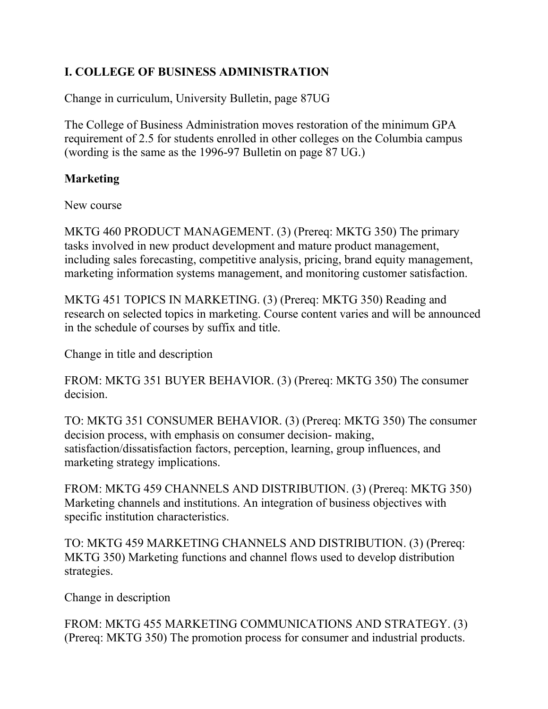# **I. COLLEGE OF BUSINESS ADMINISTRATION**

Change in curriculum, University Bulletin, page 87UG

The College of Business Administration moves restoration of the minimum GPA requirement of 2.5 for students enrolled in other colleges on the Columbia campus (wording is the same as the 1996-97 Bulletin on page 87 UG.)

#### **Marketing**

New course

MKTG 460 PRODUCT MANAGEMENT. (3) (Prereq: MKTG 350) The primary tasks involved in new product development and mature product management, including sales forecasting, competitive analysis, pricing, brand equity management, marketing information systems management, and monitoring customer satisfaction.

MKTG 451 TOPICS IN MARKETING. (3) (Prereq: MKTG 350) Reading and research on selected topics in marketing. Course content varies and will be announced in the schedule of courses by suffix and title.

Change in title and description

FROM: MKTG 351 BUYER BEHAVIOR. (3) (Prereq: MKTG 350) The consumer decision.

TO: MKTG 351 CONSUMER BEHAVIOR. (3) (Prereq: MKTG 350) The consumer decision process, with emphasis on consumer decision- making, satisfaction/dissatisfaction factors, perception, learning, group influences, and marketing strategy implications.

FROM: MKTG 459 CHANNELS AND DISTRIBUTION. (3) (Prereq: MKTG 350) Marketing channels and institutions. An integration of business objectives with specific institution characteristics.

TO: MKTG 459 MARKETING CHANNELS AND DISTRIBUTION. (3) (Prereq: MKTG 350) Marketing functions and channel flows used to develop distribution strategies.

Change in description

FROM: MKTG 455 MARKETING COMMUNICATIONS AND STRATEGY. (3) (Prereq: MKTG 350) The promotion process for consumer and industrial products.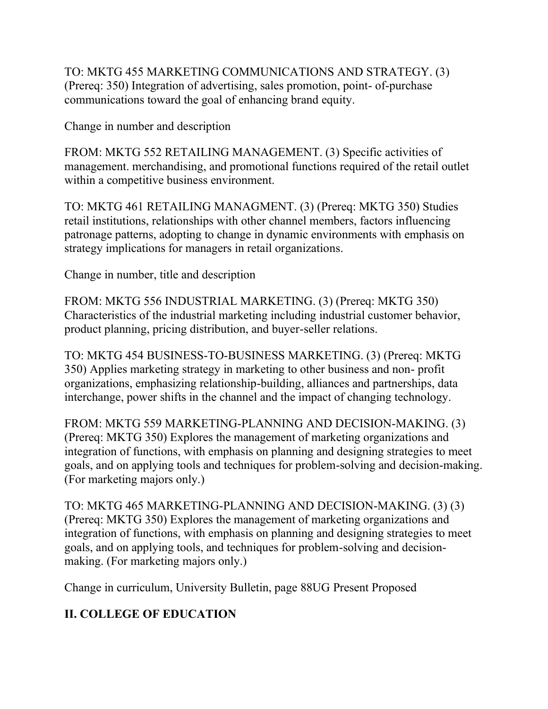TO: MKTG 455 MARKETING COMMUNICATIONS AND STRATEGY. (3) (Prereq: 350) Integration of advertising, sales promotion, point- of-purchase communications toward the goal of enhancing brand equity.

Change in number and description

FROM: MKTG 552 RETAILING MANAGEMENT. (3) Specific activities of management. merchandising, and promotional functions required of the retail outlet within a competitive business environment.

TO: MKTG 461 RETAILING MANAGMENT. (3) (Prereq: MKTG 350) Studies retail institutions, relationships with other channel members, factors influencing patronage patterns, adopting to change in dynamic environments with emphasis on strategy implications for managers in retail organizations.

Change in number, title and description

FROM: MKTG 556 INDUSTRIAL MARKETING. (3) (Prereq: MKTG 350) Characteristics of the industrial marketing including industrial customer behavior, product planning, pricing distribution, and buyer-seller relations.

TO: MKTG 454 BUSINESS-TO-BUSINESS MARKETING. (3) (Prereq: MKTG 350) Applies marketing strategy in marketing to other business and non- profit organizations, emphasizing relationship-building, alliances and partnerships, data interchange, power shifts in the channel and the impact of changing technology.

FROM: MKTG 559 MARKETING-PLANNING AND DECISION-MAKING. (3) (Prereq: MKTG 350) Explores the management of marketing organizations and integration of functions, with emphasis on planning and designing strategies to meet goals, and on applying tools and techniques for problem-solving and decision-making. (For marketing majors only.)

TO: MKTG 465 MARKETING-PLANNING AND DECISION-MAKING. (3) (3) (Prereq: MKTG 350) Explores the management of marketing organizations and integration of functions, with emphasis on planning and designing strategies to meet goals, and on applying tools, and techniques for problem-solving and decisionmaking. (For marketing majors only.)

Change in curriculum, University Bulletin, page 88UG Present Proposed

# **II. COLLEGE OF EDUCATION**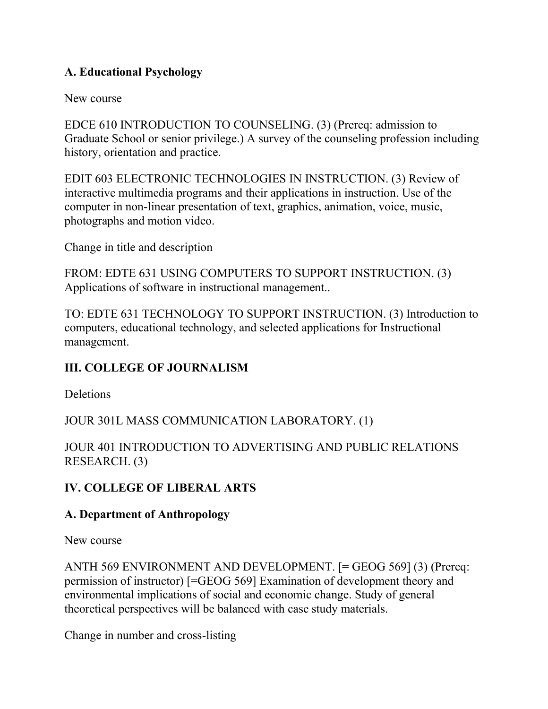# **A. Educational Psychology**

New course

EDCE 610 INTRODUCTION TO COUNSELING. (3) (Prereq: admission to Graduate School or senior privilege.) A survey of the counseling profession including history, orientation and practice.

EDIT 603 ELECTRONIC TECHNOLOGIES IN INSTRUCTION. (3) Review of interactive multimedia programs and their applications in instruction. Use of the computer in non-linear presentation of text, graphics, animation, voice, music, photographs and motion video.

Change in title and description

FROM: EDTE 631 USING COMPUTERS TO SUPPORT INSTRUCTION. (3) Applications of software in instructional management..

TO: EDTE 631 TECHNOLOGY TO SUPPORT INSTRUCTION. (3) Introduction to computers, educational technology, and selected applications for Instructional management.

# **III. COLLEGE OF JOURNALISM**

**Deletions** 

JOUR 301L MASS COMMUNICATION LABORATORY. (1)

JOUR 401 INTRODUCTION TO ADVERTISING AND PUBLIC RELATIONS RESEARCH. (3)

# **IV. COLLEGE OF LIBERAL ARTS**

#### **A. Department of Anthropology**

New course

ANTH 569 ENVIRONMENT AND DEVELOPMENT. [= GEOG 569] (3) (Prereq: permission of instructor) [=GEOG 569] Examination of development theory and environmental implications of social and economic change. Study of general theoretical perspectives will be balanced with case study materials.

Change in number and cross-listing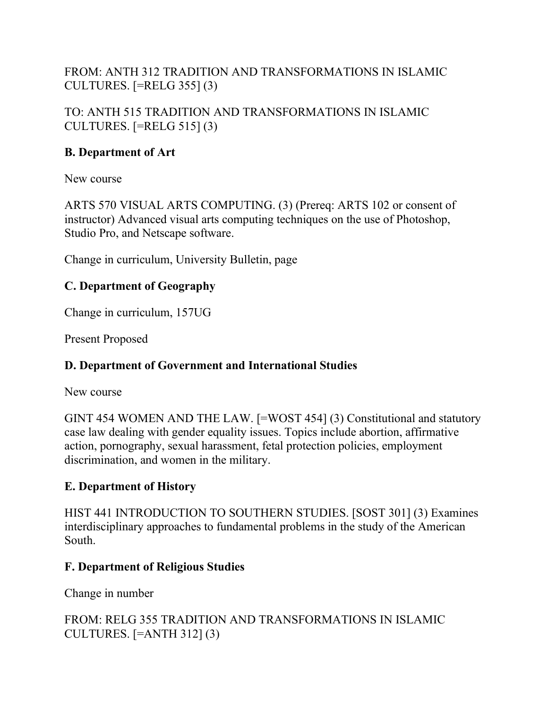FROM: ANTH 312 TRADITION AND TRANSFORMATIONS IN ISLAMIC CULTURES. [=RELG 355] (3)

TO: ANTH 515 TRADITION AND TRANSFORMATIONS IN ISLAMIC CULTURES.  $[=RELG 515]$  (3)

#### **B. Department of Art**

New course

ARTS 570 VISUAL ARTS COMPUTING. (3) (Prereq: ARTS 102 or consent of instructor) Advanced visual arts computing techniques on the use of Photoshop, Studio Pro, and Netscape software.

Change in curriculum, University Bulletin, page

# **C. Department of Geography**

Change in curriculum, 157UG

Present Proposed

# **D. Department of Government and International Studies**

New course

GINT 454 WOMEN AND THE LAW. [=WOST 454] (3) Constitutional and statutory case law dealing with gender equality issues. Topics include abortion, affirmative action, pornography, sexual harassment, fetal protection policies, employment discrimination, and women in the military.

# **E. Department of History**

HIST 441 INTRODUCTION TO SOUTHERN STUDIES. [SOST 301] (3) Examines interdisciplinary approaches to fundamental problems in the study of the American South.

#### **F. Department of Religious Studies**

Change in number

# FROM: RELG 355 TRADITION AND TRANSFORMATIONS IN ISLAMIC CULTURES. [=ANTH 312] (3)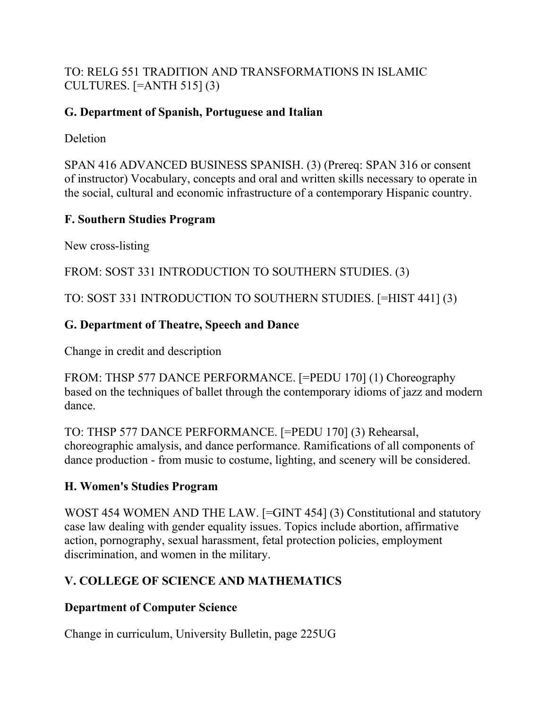#### TO: RELG 551 TRADITION AND TRANSFORMATIONS IN ISLAMIC CULTURES. [=ANTH 515] (3)

# **G. Department of Spanish, Portuguese and Italian**

**Deletion** 

SPAN 416 ADVANCED BUSINESS SPANISH. (3) (Prereq: SPAN 316 or consent of instructor) Vocabulary, concepts and oral and written skills necessary to operate in the social, cultural and economic infrastructure of a contemporary Hispanic country.

# **F. Southern Studies Program**

New cross-listing

FROM: SOST 331 INTRODUCTION TO SOUTHERN STUDIES. (3)

TO: SOST 331 INTRODUCTION TO SOUTHERN STUDIES. [=HIST 441] (3)

# **G. Department of Theatre, Speech and Dance**

Change in credit and description

FROM: THSP 577 DANCE PERFORMANCE. [=PEDU 170] (1) Choreography based on the techniques of ballet through the contemporary idioms of jazz and modern dance.

TO: THSP 577 DANCE PERFORMANCE. [=PEDU 170] (3) Rehearsal, choreographic amalysis, and dance performance. Ramifications of all components of dance production - from music to costume, lighting, and scenery will be considered.

# **H. Women's Studies Program**

WOST 454 WOMEN AND THE LAW. [=GINT 454] (3) Constitutional and statutory case law dealing with gender equality issues. Topics include abortion, affirmative action, pornography, sexual harassment, fetal protection policies, employment discrimination, and women in the military.

# **V. COLLEGE OF SCIENCE AND MATHEMATICS**

# **Department of Computer Science**

Change in curriculum, University Bulletin, page 225UG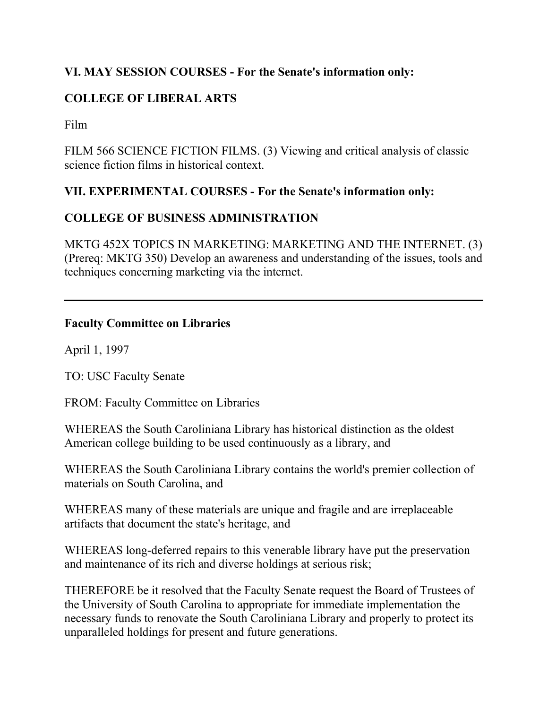# **VI. MAY SESSION COURSES - For the Senate's information only:**

# **COLLEGE OF LIBERAL ARTS**

Film

FILM 566 SCIENCE FICTION FILMS. (3) Viewing and critical analysis of classic science fiction films in historical context.

#### **VII. EXPERIMENTAL COURSES - For the Senate's information only:**

#### **COLLEGE OF BUSINESS ADMINISTRATION**

MKTG 452X TOPICS IN MARKETING: MARKETING AND THE INTERNET. (3) (Prereq: MKTG 350) Develop an awareness and understanding of the issues, tools and techniques concerning marketing via the internet.

#### **Faculty Committee on Libraries**

April 1, 1997

TO: USC Faculty Senate

FROM: Faculty Committee on Libraries

WHEREAS the South Caroliniana Library has historical distinction as the oldest American college building to be used continuously as a library, and

WHEREAS the South Caroliniana Library contains the world's premier collection of materials on South Carolina, and

WHEREAS many of these materials are unique and fragile and are irreplaceable artifacts that document the state's heritage, and

WHEREAS long-deferred repairs to this venerable library have put the preservation and maintenance of its rich and diverse holdings at serious risk;

THEREFORE be it resolved that the Faculty Senate request the Board of Trustees of the University of South Carolina to appropriate for immediate implementation the necessary funds to renovate the South Caroliniana Library and properly to protect its unparalleled holdings for present and future generations.